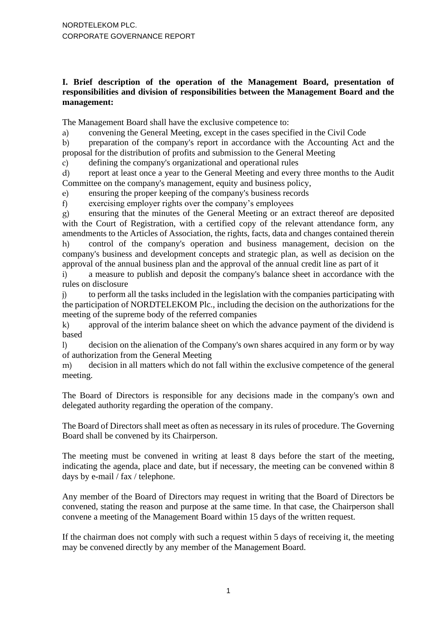# **I. Brief description of the operation of the Management Board, presentation of responsibilities and division of responsibilities between the Management Board and the management:**

The Management Board shall have the exclusive competence to:

a) convening the General Meeting, except in the cases specified in the Civil Code

b) preparation of the company's report in accordance with the Accounting Act and the proposal for the distribution of profits and submission to the General Meeting

c) defining the company's organizational and operational rules

d) report at least once a year to the General Meeting and every three months to the Audit Committee on the company's management, equity and business policy,

e) ensuring the proper keeping of the company's business records

f) exercising employer rights over the company's employees

g) ensuring that the minutes of the General Meeting or an extract thereof are deposited with the Court of Registration, with a certified copy of the relevant attendance form, any amendments to the Articles of Association, the rights, facts, data and changes contained therein h) control of the company's operation and business management, decision on the company's business and development concepts and strategic plan, as well as decision on the approval of the annual business plan and the approval of the annual credit line as part of it

i) a measure to publish and deposit the company's balance sheet in accordance with the rules on disclosure

j) to perform all the tasks included in the legislation with the companies participating with the participation of NORDTELEKOM Plc., including the decision on the authorizations for the meeting of the supreme body of the referred companies

k) approval of the interim balance sheet on which the advance payment of the dividend is based

l) decision on the alienation of the Company's own shares acquired in any form or by way of authorization from the General Meeting

m) decision in all matters which do not fall within the exclusive competence of the general meeting.

The Board of Directors is responsible for any decisions made in the company's own and delegated authority regarding the operation of the company.

The Board of Directors shall meet as often as necessary in its rules of procedure. The Governing Board shall be convened by its Chairperson.

The meeting must be convened in writing at least 8 days before the start of the meeting. indicating the agenda, place and date, but if necessary, the meeting can be convened within 8 days by e-mail / fax / telephone.

Any member of the Board of Directors may request in writing that the Board of Directors be convened, stating the reason and purpose at the same time. In that case, the Chairperson shall convene a meeting of the Management Board within 15 days of the written request.

If the chairman does not comply with such a request within 5 days of receiving it, the meeting may be convened directly by any member of the Management Board.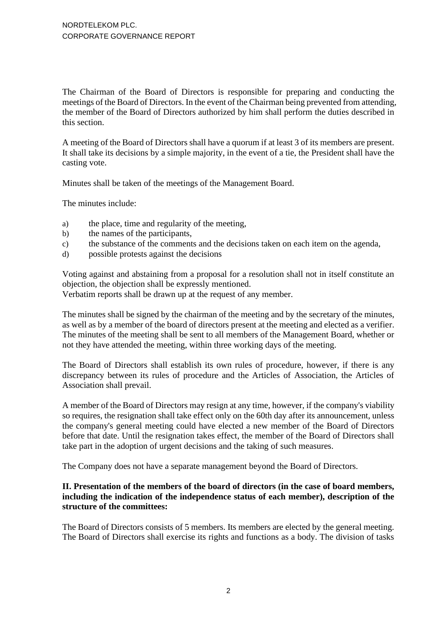The Chairman of the Board of Directors is responsible for preparing and conducting the meetings of the Board of Directors. In the event of the Chairman being prevented from attending, the member of the Board of Directors authorized by him shall perform the duties described in this section.

A meeting of the Board of Directors shall have a quorum if at least 3 of its members are present. It shall take its decisions by a simple majority, in the event of a tie, the President shall have the casting vote.

Minutes shall be taken of the meetings of the Management Board.

The minutes include:

- a) the place, time and regularity of the meeting,
- b) the names of the participants,
- c) the substance of the comments and the decisions taken on each item on the agenda,
- d) possible protests against the decisions

Voting against and abstaining from a proposal for a resolution shall not in itself constitute an objection, the objection shall be expressly mentioned.

Verbatim reports shall be drawn up at the request of any member.

The minutes shall be signed by the chairman of the meeting and by the secretary of the minutes, as well as by a member of the board of directors present at the meeting and elected as a verifier. The minutes of the meeting shall be sent to all members of the Management Board, whether or not they have attended the meeting, within three working days of the meeting.

The Board of Directors shall establish its own rules of procedure, however, if there is any discrepancy between its rules of procedure and the Articles of Association, the Articles of Association shall prevail.

A member of the Board of Directors may resign at any time, however, if the company's viability so requires, the resignation shall take effect only on the 60th day after its announcement, unless the company's general meeting could have elected a new member of the Board of Directors before that date. Until the resignation takes effect, the member of the Board of Directors shall take part in the adoption of urgent decisions and the taking of such measures.

The Company does not have a separate management beyond the Board of Directors.

### **II. Presentation of the members of the board of directors (in the case of board members, including the indication of the independence status of each member), description of the structure of the committees:**

The Board of Directors consists of 5 members. Its members are elected by the general meeting. The Board of Directors shall exercise its rights and functions as a body. The division of tasks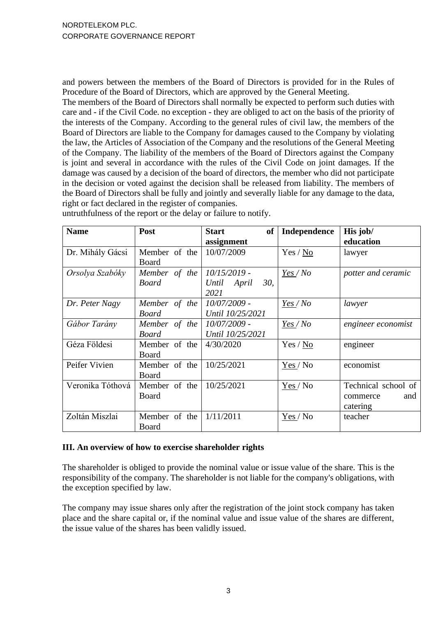and powers between the members of the Board of Directors is provided for in the Rules of Procedure of the Board of Directors, which are approved by the General Meeting.

The members of the Board of Directors shall normally be expected to perform such duties with care and - if the Civil Code. no exception - they are obliged to act on the basis of the priority of the interests of the Company. According to the general rules of civil law, the members of the Board of Directors are liable to the Company for damages caused to the Company by violating the law, the Articles of Association of the Company and the resolutions of the General Meeting of the Company. The liability of the members of the Board of Directors against the Company is joint and several in accordance with the rules of the Civil Code on joint damages. If the damage was caused by a decision of the board of directors, the member who did not participate in the decision or voted against the decision shall be released from liability. The members of the Board of Directors shall be fully and jointly and severally liable for any damage to the data, right or fact declared in the register of companies.

| <b>Name</b>      | Post          | <b>Start</b><br>of | Independence | His job/            |
|------------------|---------------|--------------------|--------------|---------------------|
|                  |               | assignment         |              | education           |
| Dr. Mihály Gácsi | Member of the | 10/07/2009         | Yes / No     | lawyer              |
|                  | Board         |                    |              |                     |
| Orsolya Szabóky  | Member of the | $10/15/2019$ -     | Yes/No       | potter and ceramic  |
|                  | <b>Board</b>  | 30.<br>Until April |              |                     |
|                  |               | 2021               |              |                     |
| Dr. Peter Nagy   | Member of the | 10/07/2009 -       | $Yes / No$   | lawyer              |
|                  | <b>Board</b>  | Until 10/25/2021   |              |                     |
| Gábor Tarány     | Member of the | 10/07/2009 -       | Yes/No       | engineer economist  |
|                  | <b>Board</b>  | Until 10/25/2021   |              |                     |
| Géza Földesi     | Member of the | 4/30/2020          | Yes / No     | engineer            |
|                  | Board         |                    |              |                     |
| Peifer Vivien    | Member of the | 10/25/2021         | Yes / No     | economist           |
|                  | Board         |                    |              |                     |
| Veronika Tóthová | Member of the | 10/25/2021         | Yes / No     | Technical school of |
|                  | <b>Board</b>  |                    |              | and<br>commerce     |
|                  |               |                    |              | catering            |
| Zoltán Miszlai   | Member of the | 1/11/2011          | Yes / No     | teacher             |
|                  | Board         |                    |              |                     |

untruthfulness of the report or the delay or failure to notify.

#### **III. An overview of how to exercise shareholder rights**

The shareholder is obliged to provide the nominal value or issue value of the share. This is the responsibility of the company. The shareholder is not liable for the company's obligations, with the exception specified by law.

The company may issue shares only after the registration of the joint stock company has taken place and the share capital or, if the nominal value and issue value of the shares are different, the issue value of the shares has been validly issued.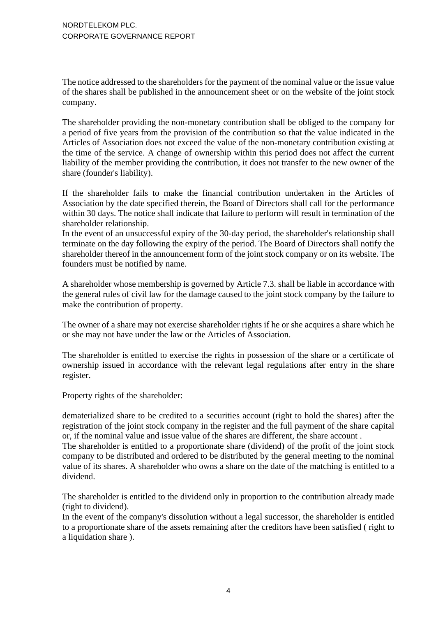The notice addressed to the shareholders for the payment of the nominal value or the issue value of the shares shall be published in the announcement sheet or on the website of the joint stock company.

The shareholder providing the non-monetary contribution shall be obliged to the company for a period of five years from the provision of the contribution so that the value indicated in the Articles of Association does not exceed the value of the non-monetary contribution existing at the time of the service. A change of ownership within this period does not affect the current liability of the member providing the contribution, it does not transfer to the new owner of the share (founder's liability).

If the shareholder fails to make the financial contribution undertaken in the Articles of Association by the date specified therein, the Board of Directors shall call for the performance within 30 days. The notice shall indicate that failure to perform will result in termination of the shareholder relationship.

In the event of an unsuccessful expiry of the 30-day period, the shareholder's relationship shall terminate on the day following the expiry of the period. The Board of Directors shall notify the shareholder thereof in the announcement form of the joint stock company or on its website. The founders must be notified by name.

A shareholder whose membership is governed by Article 7.3. shall be liable in accordance with the general rules of civil law for the damage caused to the joint stock company by the failure to make the contribution of property.

The owner of a share may not exercise shareholder rights if he or she acquires a share which he or she may not have under the law or the Articles of Association.

The shareholder is entitled to exercise the rights in possession of the share or a certificate of ownership issued in accordance with the relevant legal regulations after entry in the share register.

Property rights of the shareholder:

dematerialized share to be credited to a securities account (right to hold the shares) after the registration of the joint stock company in the register and the full payment of the share capital or, if the nominal value and issue value of the shares are different, the share account .

The shareholder is entitled to a proportionate share (dividend) of the profit of the joint stock company to be distributed and ordered to be distributed by the general meeting to the nominal value of its shares. A shareholder who owns a share on the date of the matching is entitled to a dividend.

The shareholder is entitled to the dividend only in proportion to the contribution already made (right to dividend).

In the event of the company's dissolution without a legal successor, the shareholder is entitled to a proportionate share of the assets remaining after the creditors have been satisfied ( right to a liquidation share ).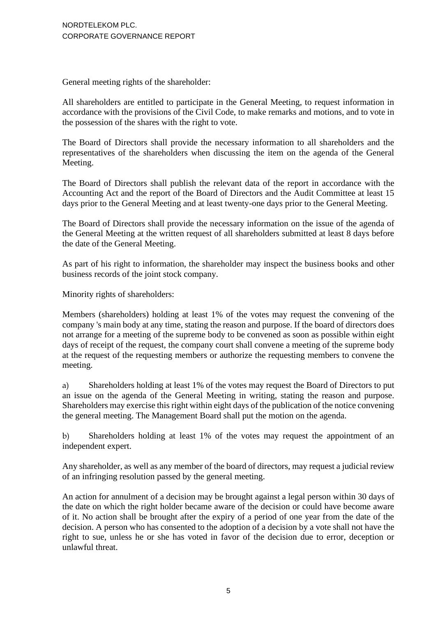General meeting rights of the shareholder:

All shareholders are entitled to participate in the General Meeting, to request information in accordance with the provisions of the Civil Code, to make remarks and motions, and to vote in the possession of the shares with the right to vote.

The Board of Directors shall provide the necessary information to all shareholders and the representatives of the shareholders when discussing the item on the agenda of the General Meeting.

The Board of Directors shall publish the relevant data of the report in accordance with the Accounting Act and the report of the Board of Directors and the Audit Committee at least 15 days prior to the General Meeting and at least twenty-one days prior to the General Meeting.

The Board of Directors shall provide the necessary information on the issue of the agenda of the General Meeting at the written request of all shareholders submitted at least 8 days before the date of the General Meeting.

As part of his right to information, the shareholder may inspect the business books and other business records of the joint stock company.

Minority rights of shareholders:

Members (shareholders) holding at least 1% of the votes may request the convening of the company 's main body at any time, stating the reason and purpose. If the board of directors does not arrange for a meeting of the supreme body to be convened as soon as possible within eight days of receipt of the request, the company court shall convene a meeting of the supreme body at the request of the requesting members or authorize the requesting members to convene the meeting.

a) Shareholders holding at least 1% of the votes may request the Board of Directors to put an issue on the agenda of the General Meeting in writing, stating the reason and purpose. Shareholders may exercise this right within eight days of the publication of the notice convening the general meeting. The Management Board shall put the motion on the agenda.

b) Shareholders holding at least 1% of the votes may request the appointment of an independent expert.

Any shareholder, as well as any member of the board of directors, may request a judicial review of an infringing resolution passed by the general meeting.

An action for annulment of a decision may be brought against a legal person within 30 days of the date on which the right holder became aware of the decision or could have become aware of it. No action shall be brought after the expiry of a period of one year from the date of the decision. A person who has consented to the adoption of a decision by a vote shall not have the right to sue, unless he or she has voted in favor of the decision due to error, deception or unlawful threat.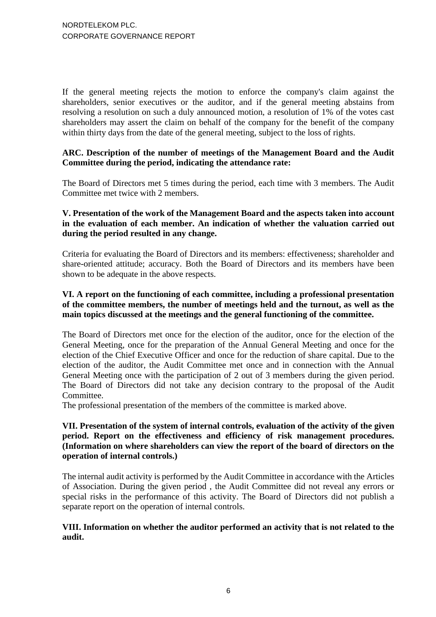If the general meeting rejects the motion to enforce the company's claim against the shareholders, senior executives or the auditor, and if the general meeting abstains from resolving a resolution on such a duly announced motion, a resolution of 1% of the votes cast shareholders may assert the claim on behalf of the company for the benefit of the company within thirty days from the date of the general meeting, subject to the loss of rights.

### **ARC. Description of the number of meetings of the Management Board and the Audit Committee during the period, indicating the attendance rate:**

The Board of Directors met 5 times during the period, each time with 3 members. The Audit Committee met twice with 2 members.

#### **V. Presentation of the work of the Management Board and the aspects taken into account in the evaluation of each member. An indication of whether the valuation carried out during the period resulted in any change.**

Criteria for evaluating the Board of Directors and its members: effectiveness; shareholder and share-oriented attitude; accuracy. Both the Board of Directors and its members have been shown to be adequate in the above respects.

### **VI. A report on the functioning of each committee, including a professional presentation of the committee members, the number of meetings held and the turnout, as well as the main topics discussed at the meetings and the general functioning of the committee.**

The Board of Directors met once for the election of the auditor, once for the election of the General Meeting, once for the preparation of the Annual General Meeting and once for the election of the Chief Executive Officer and once for the reduction of share capital. Due to the election of the auditor, the Audit Committee met once and in connection with the Annual General Meeting once with the participation of 2 out of 3 members during the given period. The Board of Directors did not take any decision contrary to the proposal of the Audit Committee.

The professional presentation of the members of the committee is marked above.

### **VII. Presentation of the system of internal controls, evaluation of the activity of the given period. Report on the effectiveness and efficiency of risk management procedures. (Information on where shareholders can view the report of the board of directors on the operation of internal controls.)**

The internal audit activity is performed by the Audit Committee in accordance with the Articles of Association. During the given period , the Audit Committee did not reveal any errors or special risks in the performance of this activity. The Board of Directors did not publish a separate report on the operation of internal controls.

# **VIII. Information on whether the auditor performed an activity that is not related to the audit.**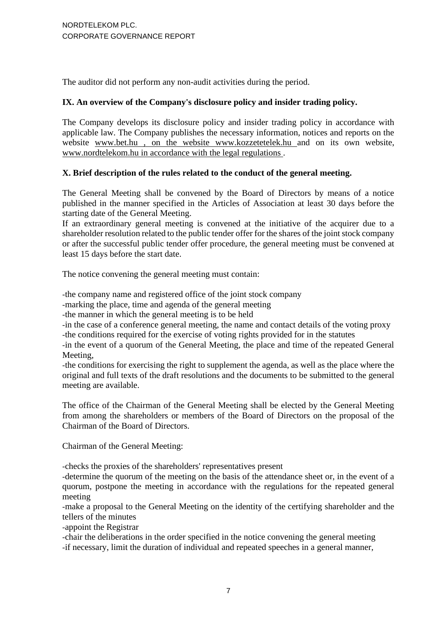The auditor did not perform any non-audit activities during the period.

### **IX. An overview of the Company's disclosure policy and insider trading policy.**

The Company develops its disclosure policy and insider trading policy in accordance with applicable law. The Company publishes the necessary information, notices and reports on the website [www.bet.hu , on the website](http://www.bet.hu/) [www.kozzetetelek.hu a](http://www.kozzetetelek.hu/)nd on its own website, [www.nordtelekom.hu in accordance with the legal regulations .](http://www.nordtelekom.hu/)

# **X. Brief description of the rules related to the conduct of the general meeting.**

The General Meeting shall be convened by the Board of Directors by means of a notice published in the manner specified in the Articles of Association at least 30 days before the starting date of the General Meeting.

If an extraordinary general meeting is convened at the initiative of the acquirer due to a shareholder resolution related to the public tender offer for the shares of the joint stock company or after the successful public tender offer procedure, the general meeting must be convened at least 15 days before the start date.

The notice convening the general meeting must contain:

-the company name and registered office of the joint stock company

-marking the place, time and agenda of the general meeting

-the manner in which the general meeting is to be held

-in the case of a conference general meeting, the name and contact details of the voting proxy -the conditions required for the exercise of voting rights provided for in the statutes

-in the event of a quorum of the General Meeting, the place and time of the repeated General Meeting,

-the conditions for exercising the right to supplement the agenda, as well as the place where the original and full texts of the draft resolutions and the documents to be submitted to the general meeting are available.

The office of the Chairman of the General Meeting shall be elected by the General Meeting from among the shareholders or members of the Board of Directors on the proposal of the Chairman of the Board of Directors.

Chairman of the General Meeting:

-checks the proxies of the shareholders' representatives present

-determine the quorum of the meeting on the basis of the attendance sheet or, in the event of a quorum, postpone the meeting in accordance with the regulations for the repeated general meeting

-make a proposal to the General Meeting on the identity of the certifying shareholder and the tellers of the minutes

-appoint the Registrar

-chair the deliberations in the order specified in the notice convening the general meeting

-if necessary, limit the duration of individual and repeated speeches in a general manner,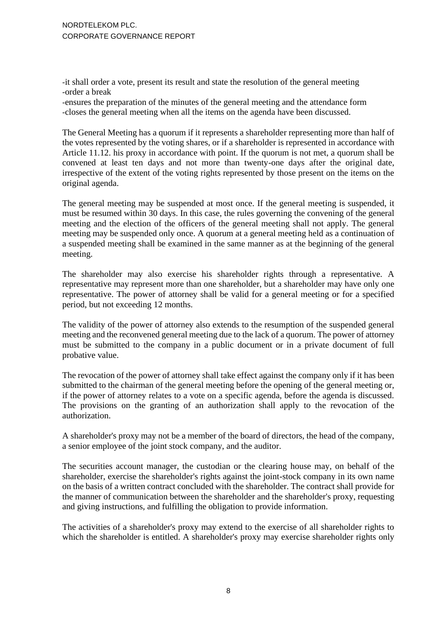-it shall order a vote, present its result and state the resolution of the general meeting -order a break

-ensures the preparation of the minutes of the general meeting and the attendance form -closes the general meeting when all the items on the agenda have been discussed.

The General Meeting has a quorum if it represents a shareholder representing more than half of the votes represented by the voting shares, or if a shareholder is represented in accordance with Article 11.12. his proxy in accordance with point. If the quorum is not met, a quorum shall be convened at least ten days and not more than twenty-one days after the original date, irrespective of the extent of the voting rights represented by those present on the items on the original agenda.

The general meeting may be suspended at most once. If the general meeting is suspended, it must be resumed within 30 days. In this case, the rules governing the convening of the general meeting and the election of the officers of the general meeting shall not apply. The general meeting may be suspended only once. A quorum at a general meeting held as a continuation of a suspended meeting shall be examined in the same manner as at the beginning of the general meeting.

The shareholder may also exercise his shareholder rights through a representative. A representative may represent more than one shareholder, but a shareholder may have only one representative. The power of attorney shall be valid for a general meeting or for a specified period, but not exceeding 12 months.

The validity of the power of attorney also extends to the resumption of the suspended general meeting and the reconvened general meeting due to the lack of a quorum. The power of attorney must be submitted to the company in a public document or in a private document of full probative value.

The revocation of the power of attorney shall take effect against the company only if it has been submitted to the chairman of the general meeting before the opening of the general meeting or, if the power of attorney relates to a vote on a specific agenda, before the agenda is discussed. The provisions on the granting of an authorization shall apply to the revocation of the authorization.

A shareholder's proxy may not be a member of the board of directors, the head of the company, a senior employee of the joint stock company, and the auditor.

The securities account manager, the custodian or the clearing house may, on behalf of the shareholder, exercise the shareholder's rights against the joint-stock company in its own name on the basis of a written contract concluded with the shareholder. The contract shall provide for the manner of communication between the shareholder and the shareholder's proxy, requesting and giving instructions, and fulfilling the obligation to provide information.

The activities of a shareholder's proxy may extend to the exercise of all shareholder rights to which the shareholder is entitled. A shareholder's proxy may exercise shareholder rights only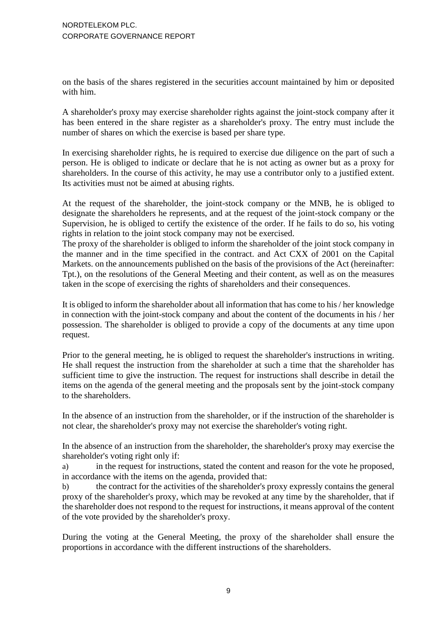on the basis of the shares registered in the securities account maintained by him or deposited with him.

A shareholder's proxy may exercise shareholder rights against the joint-stock company after it has been entered in the share register as a shareholder's proxy. The entry must include the number of shares on which the exercise is based per share type.

In exercising shareholder rights, he is required to exercise due diligence on the part of such a person. He is obliged to indicate or declare that he is not acting as owner but as a proxy for shareholders. In the course of this activity, he may use a contributor only to a justified extent. Its activities must not be aimed at abusing rights.

At the request of the shareholder, the joint-stock company or the MNB, he is obliged to designate the shareholders he represents, and at the request of the joint-stock company or the Supervision, he is obliged to certify the existence of the order. If he fails to do so, his voting rights in relation to the joint stock company may not be exercised.

The proxy of the shareholder is obliged to inform the shareholder of the joint stock company in the manner and in the time specified in the contract. and Act CXX of 2001 on the Capital Markets. on the announcements published on the basis of the provisions of the Act (hereinafter: Tpt.), on the resolutions of the General Meeting and their content, as well as on the measures taken in the scope of exercising the rights of shareholders and their consequences.

It is obliged to inform the shareholder about all information that has come to his / her knowledge in connection with the joint-stock company and about the content of the documents in his / her possession. The shareholder is obliged to provide a copy of the documents at any time upon request.

Prior to the general meeting, he is obliged to request the shareholder's instructions in writing. He shall request the instruction from the shareholder at such a time that the shareholder has sufficient time to give the instruction. The request for instructions shall describe in detail the items on the agenda of the general meeting and the proposals sent by the joint-stock company to the shareholders.

In the absence of an instruction from the shareholder, or if the instruction of the shareholder is not clear, the shareholder's proxy may not exercise the shareholder's voting right.

In the absence of an instruction from the shareholder, the shareholder's proxy may exercise the shareholder's voting right only if:

a) in the request for instructions, stated the content and reason for the vote he proposed, in accordance with the items on the agenda, provided that:

b) the contract for the activities of the shareholder's proxy expressly contains the general proxy of the shareholder's proxy, which may be revoked at any time by the shareholder, that if the shareholder does not respond to the request for instructions, it means approval of the content of the vote provided by the shareholder's proxy.

During the voting at the General Meeting, the proxy of the shareholder shall ensure the proportions in accordance with the different instructions of the shareholders.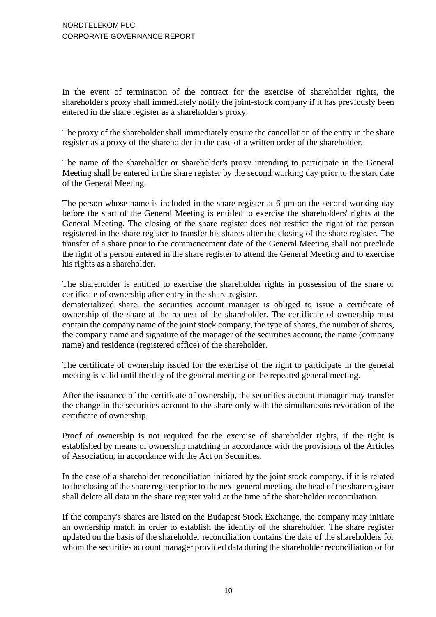In the event of termination of the contract for the exercise of shareholder rights, the shareholder's proxy shall immediately notify the joint-stock company if it has previously been entered in the share register as a shareholder's proxy.

The proxy of the shareholder shall immediately ensure the cancellation of the entry in the share register as a proxy of the shareholder in the case of a written order of the shareholder.

The name of the shareholder or shareholder's proxy intending to participate in the General Meeting shall be entered in the share register by the second working day prior to the start date of the General Meeting.

The person whose name is included in the share register at 6 pm on the second working day before the start of the General Meeting is entitled to exercise the shareholders' rights at the General Meeting. The closing of the share register does not restrict the right of the person registered in the share register to transfer his shares after the closing of the share register. The transfer of a share prior to the commencement date of the General Meeting shall not preclude the right of a person entered in the share register to attend the General Meeting and to exercise his rights as a shareholder.

The shareholder is entitled to exercise the shareholder rights in possession of the share or certificate of ownership after entry in the share register.

dematerialized share, the securities account manager is obliged to issue a certificate of ownership of the share at the request of the shareholder. The certificate of ownership must contain the company name of the joint stock company, the type of shares, the number of shares, the company name and signature of the manager of the securities account, the name (company name) and residence (registered office) of the shareholder.

The certificate of ownership issued for the exercise of the right to participate in the general meeting is valid until the day of the general meeting or the repeated general meeting.

After the issuance of the certificate of ownership, the securities account manager may transfer the change in the securities account to the share only with the simultaneous revocation of the certificate of ownership.

Proof of ownership is not required for the exercise of shareholder rights, if the right is established by means of ownership matching in accordance with the provisions of the Articles of Association, in accordance with the Act on Securities.

In the case of a shareholder reconciliation initiated by the joint stock company, if it is related to the closing of the share register prior to the next general meeting, the head of the share register shall delete all data in the share register valid at the time of the shareholder reconciliation.

If the company's shares are listed on the Budapest Stock Exchange, the company may initiate an ownership match in order to establish the identity of the shareholder. The share register updated on the basis of the shareholder reconciliation contains the data of the shareholders for whom the securities account manager provided data during the shareholder reconciliation or for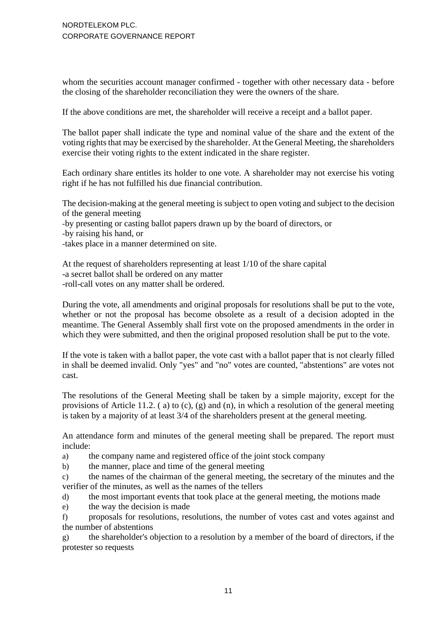whom the securities account manager confirmed - together with other necessary data - before the closing of the shareholder reconciliation they were the owners of the share.

If the above conditions are met, the shareholder will receive a receipt and a ballot paper.

The ballot paper shall indicate the type and nominal value of the share and the extent of the voting rights that may be exercised by the shareholder. At the General Meeting, the shareholders exercise their voting rights to the extent indicated in the share register.

Each ordinary share entitles its holder to one vote. A shareholder may not exercise his voting right if he has not fulfilled his due financial contribution.

The decision-making at the general meeting is subject to open voting and subject to the decision of the general meeting

-by presenting or casting ballot papers drawn up by the board of directors, or

-by raising his hand, or

-takes place in a manner determined on site.

At the request of shareholders representing at least 1/10 of the share capital -a secret ballot shall be ordered on any matter -roll-call votes on any matter shall be ordered.

During the vote, all amendments and original proposals for resolutions shall be put to the vote, whether or not the proposal has become obsolete as a result of a decision adopted in the meantime. The General Assembly shall first vote on the proposed amendments in the order in which they were submitted, and then the original proposed resolution shall be put to the vote.

If the vote is taken with a ballot paper, the vote cast with a ballot paper that is not clearly filled in shall be deemed invalid. Only "yes" and "no" votes are counted, "abstentions" are votes not cast.

The resolutions of the General Meeting shall be taken by a simple majority, except for the provisions of Article 11.2. ( a) to (c), (g) and (n), in which a resolution of the general meeting is taken by a majority of at least 3/4 of the shareholders present at the general meeting.

An attendance form and minutes of the general meeting shall be prepared. The report must include:

a) the company name and registered office of the joint stock company

b) the manner, place and time of the general meeting

c) the names of the chairman of the general meeting, the secretary of the minutes and the verifier of the minutes, as well as the names of the tellers

d) the most important events that took place at the general meeting, the motions made

e) the way the decision is made

f) proposals for resolutions, resolutions, the number of votes cast and votes against and the number of abstentions

g) the shareholder's objection to a resolution by a member of the board of directors, if the protester so requests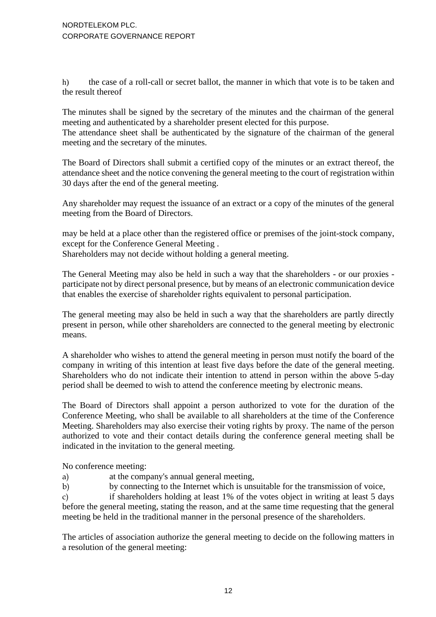h) the case of a roll-call or secret ballot, the manner in which that vote is to be taken and the result thereof

The minutes shall be signed by the secretary of the minutes and the chairman of the general meeting and authenticated by a shareholder present elected for this purpose.

The attendance sheet shall be authenticated by the signature of the chairman of the general meeting and the secretary of the minutes.

The Board of Directors shall submit a certified copy of the minutes or an extract thereof, the attendance sheet and the notice convening the general meeting to the court of registration within 30 days after the end of the general meeting.

Any shareholder may request the issuance of an extract or a copy of the minutes of the general meeting from the Board of Directors.

may be held at a place other than the registered office or premises of the joint-stock company, except for the Conference General Meeting .

Shareholders may not decide without holding a general meeting.

The General Meeting may also be held in such a way that the shareholders - or our proxies participate not by direct personal presence, but by means of an electronic communication device that enables the exercise of shareholder rights equivalent to personal participation.

The general meeting may also be held in such a way that the shareholders are partly directly present in person, while other shareholders are connected to the general meeting by electronic means.

A shareholder who wishes to attend the general meeting in person must notify the board of the company in writing of this intention at least five days before the date of the general meeting. Shareholders who do not indicate their intention to attend in person within the above 5-day period shall be deemed to wish to attend the conference meeting by electronic means.

The Board of Directors shall appoint a person authorized to vote for the duration of the Conference Meeting, who shall be available to all shareholders at the time of the Conference Meeting. Shareholders may also exercise their voting rights by proxy. The name of the person authorized to vote and their contact details during the conference general meeting shall be indicated in the invitation to the general meeting.

No conference meeting:

- a) at the company's annual general meeting,
- b) by connecting to the Internet which is unsuitable for the transmission of voice,

c) if shareholders holding at least 1% of the votes object in writing at least 5 days before the general meeting, stating the reason, and at the same time requesting that the general meeting be held in the traditional manner in the personal presence of the shareholders.

The articles of association authorize the general meeting to decide on the following matters in a resolution of the general meeting: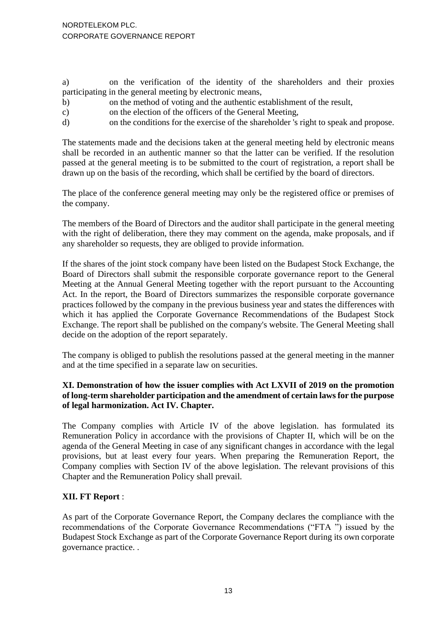a) on the verification of the identity of the shareholders and their proxies participating in the general meeting by electronic means,

- b) on the method of voting and the authentic establishment of the result,
- c) on the election of the officers of the General Meeting,
- d) on the conditions for the exercise of the shareholder 's right to speak and propose.

The statements made and the decisions taken at the general meeting held by electronic means shall be recorded in an authentic manner so that the latter can be verified. If the resolution passed at the general meeting is to be submitted to the court of registration, a report shall be drawn up on the basis of the recording, which shall be certified by the board of directors.

The place of the conference general meeting may only be the registered office or premises of the company.

The members of the Board of Directors and the auditor shall participate in the general meeting with the right of deliberation, there they may comment on the agenda, make proposals, and if any shareholder so requests, they are obliged to provide information.

If the shares of the joint stock company have been listed on the Budapest Stock Exchange, the Board of Directors shall submit the responsible corporate governance report to the General Meeting at the Annual General Meeting together with the report pursuant to the Accounting Act. In the report, the Board of Directors summarizes the responsible corporate governance practices followed by the company in the previous business year and states the differences with which it has applied the Corporate Governance Recommendations of the Budapest Stock Exchange. The report shall be published on the company's website. The General Meeting shall decide on the adoption of the report separately.

The company is obliged to publish the resolutions passed at the general meeting in the manner and at the time specified in a separate law on securities.

### **XI. Demonstration of how the issuer complies with Act LXVII of 2019 on the promotion of long-term shareholder participation and the amendment of certain laws for the purpose of legal harmonization. Act IV. Chapter.**

The Company complies with Article IV of the above legislation. has formulated its Remuneration Policy in accordance with the provisions of Chapter II, which will be on the agenda of the General Meeting in case of any significant changes in accordance with the legal provisions, but at least every four years. When preparing the Remuneration Report, the Company complies with Section IV of the above legislation. The relevant provisions of this Chapter and the Remuneration Policy shall prevail.

# **XII. FT Report** :

As part of the Corporate Governance Report, the Company declares the compliance with the recommendations of the Corporate Governance Recommendations ("FTA ") issued by the Budapest Stock Exchange as part of the Corporate Governance Report during its own corporate governance practice. .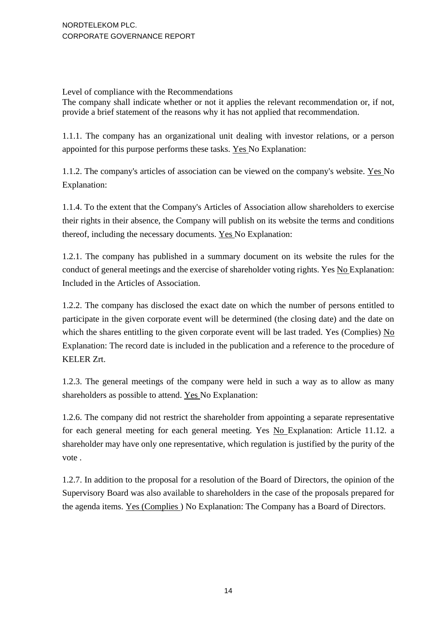Level of compliance with the Recommendations

The company shall indicate whether or not it applies the relevant recommendation or, if not, provide a brief statement of the reasons why it has not applied that recommendation.

1.1.1. The company has an organizational unit dealing with investor relations, or a person appointed for this purpose performs these tasks. Yes No Explanation:

1.1.2. The company's articles of association can be viewed on the company's website. Yes No Explanation:

1.1.4. To the extent that the Company's Articles of Association allow shareholders to exercise their rights in their absence, the Company will publish on its website the terms and conditions thereof, including the necessary documents. Yes No Explanation:

1.2.1. The company has published in a summary document on its website the rules for the conduct of general meetings and the exercise of shareholder voting rights. Yes No Explanation: Included in the Articles of Association.

1.2.2. The company has disclosed the exact date on which the number of persons entitled to participate in the given corporate event will be determined (the closing date) and the date on which the shares entitling to the given corporate event will be last traded. Yes (Complies) No Explanation: The record date is included in the publication and a reference to the procedure of KELER Zrt.

1.2.3. The general meetings of the company were held in such a way as to allow as many shareholders as possible to attend. Yes No Explanation:

1.2.6. The company did not restrict the shareholder from appointing a separate representative for each general meeting for each general meeting. Yes No Explanation: Article 11.12. a shareholder may have only one representative, which regulation is justified by the purity of the vote .

1.2.7. In addition to the proposal for a resolution of the Board of Directors, the opinion of the Supervisory Board was also available to shareholders in the case of the proposals prepared for the agenda items. Yes (Complies ) No Explanation: The Company has a Board of Directors.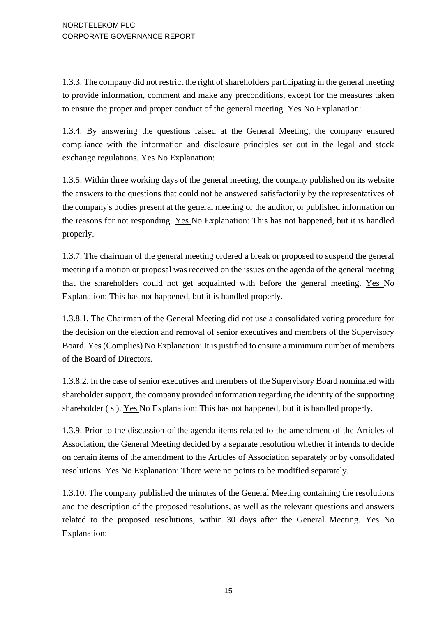1.3.3. The company did not restrict the right of shareholders participating in the general meeting to provide information, comment and make any preconditions, except for the measures taken to ensure the proper and proper conduct of the general meeting. Yes No Explanation:

1.3.4. By answering the questions raised at the General Meeting, the company ensured compliance with the information and disclosure principles set out in the legal and stock exchange regulations. Yes No Explanation:

1.3.5. Within three working days of the general meeting, the company published on its website the answers to the questions that could not be answered satisfactorily by the representatives of the company's bodies present at the general meeting or the auditor, or published information on the reasons for not responding. Yes No Explanation: This has not happened, but it is handled properly.

1.3.7. The chairman of the general meeting ordered a break or proposed to suspend the general meeting if a motion or proposal was received on the issues on the agenda of the general meeting that the shareholders could not get acquainted with before the general meeting. Yes No Explanation: This has not happened, but it is handled properly.

1.3.8.1. The Chairman of the General Meeting did not use a consolidated voting procedure for the decision on the election and removal of senior executives and members of the Supervisory Board. Yes (Complies) No Explanation: It is justified to ensure a minimum number of members of the Board of Directors.

1.3.8.2. In the case of senior executives and members of the Supervisory Board nominated with shareholder support, the company provided information regarding the identity of the supporting shareholder ( s ). Yes No Explanation: This has not happened, but it is handled properly.

1.3.9. Prior to the discussion of the agenda items related to the amendment of the Articles of Association, the General Meeting decided by a separate resolution whether it intends to decide on certain items of the amendment to the Articles of Association separately or by consolidated resolutions. Yes No Explanation: There were no points to be modified separately.

1.3.10. The company published the minutes of the General Meeting containing the resolutions and the description of the proposed resolutions, as well as the relevant questions and answers related to the proposed resolutions, within 30 days after the General Meeting. Yes No Explanation: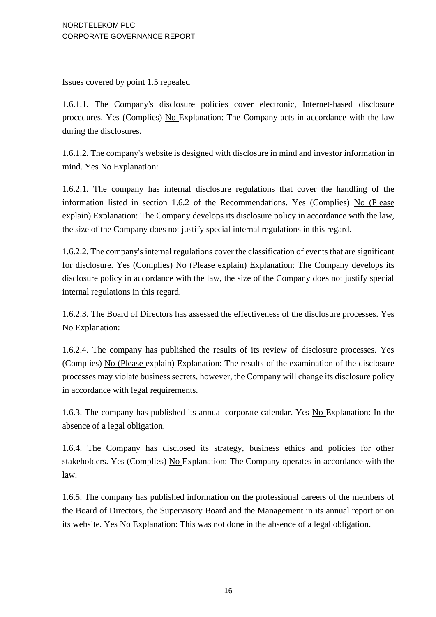Issues covered by point 1.5 repealed

1.6.1.1. The Company's disclosure policies cover electronic, Internet-based disclosure procedures. Yes (Complies) No Explanation: The Company acts in accordance with the law during the disclosures.

1.6.1.2. The company's website is designed with disclosure in mind and investor information in mind. Yes No Explanation:

1.6.2.1. The company has internal disclosure regulations that cover the handling of the information listed in section 1.6.2 of the Recommendations. Yes (Complies) No (Please explain) Explanation: The Company develops its disclosure policy in accordance with the law, the size of the Company does not justify special internal regulations in this regard.

1.6.2.2. The company's internal regulations cover the classification of events that are significant for disclosure. Yes (Complies) No (Please explain) Explanation: The Company develops its disclosure policy in accordance with the law, the size of the Company does not justify special internal regulations in this regard.

1.6.2.3. The Board of Directors has assessed the effectiveness of the disclosure processes. Yes No Explanation:

1.6.2.4. The company has published the results of its review of disclosure processes. Yes (Complies) No (Please explain) Explanation: The results of the examination of the disclosure processes may violate business secrets, however, the Company will change its disclosure policy in accordance with legal requirements.

1.6.3. The company has published its annual corporate calendar. Yes No Explanation: In the absence of a legal obligation.

1.6.4. The Company has disclosed its strategy, business ethics and policies for other stakeholders. Yes (Complies) No Explanation: The Company operates in accordance with the law.

1.6.5. The company has published information on the professional careers of the members of the Board of Directors, the Supervisory Board and the Management in its annual report or on its website. Yes No Explanation: This was not done in the absence of a legal obligation.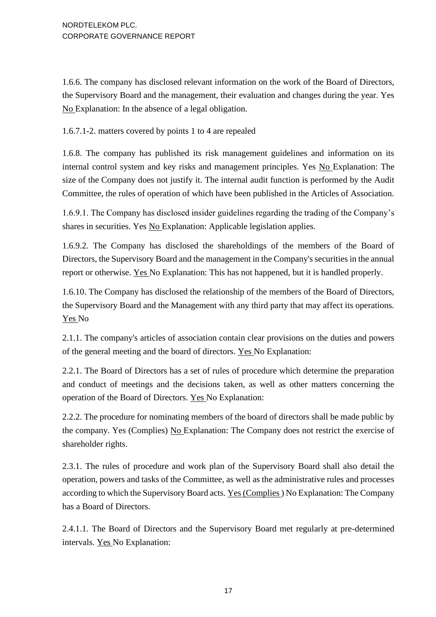1.6.6. The company has disclosed relevant information on the work of the Board of Directors, the Supervisory Board and the management, their evaluation and changes during the year. Yes No Explanation: In the absence of a legal obligation.

1.6.7.1-2. matters covered by points 1 to 4 are repealed

1.6.8. The company has published its risk management guidelines and information on its internal control system and key risks and management principles. Yes No Explanation: The size of the Company does not justify it. The internal audit function is performed by the Audit Committee, the rules of operation of which have been published in the Articles of Association.

1.6.9.1. The Company has disclosed insider guidelines regarding the trading of the Company's shares in securities. Yes No Explanation: Applicable legislation applies.

1.6.9.2. The Company has disclosed the shareholdings of the members of the Board of Directors, the Supervisory Board and the management in the Company's securities in the annual report or otherwise. Yes No Explanation: This has not happened, but it is handled properly.

1.6.10. The Company has disclosed the relationship of the members of the Board of Directors, the Supervisory Board and the Management with any third party that may affect its operations. Yes No

2.1.1. The company's articles of association contain clear provisions on the duties and powers of the general meeting and the board of directors. Yes No Explanation:

2.2.1. The Board of Directors has a set of rules of procedure which determine the preparation and conduct of meetings and the decisions taken, as well as other matters concerning the operation of the Board of Directors. Yes No Explanation:

2.2.2. The procedure for nominating members of the board of directors shall be made public by the company. Yes (Complies) No Explanation: The Company does not restrict the exercise of shareholder rights.

2.3.1. The rules of procedure and work plan of the Supervisory Board shall also detail the operation, powers and tasks of the Committee, as well as the administrative rules and processes according to which the Supervisory Board acts. Yes (Complies ) No Explanation: The Company has a Board of Directors.

2.4.1.1. The Board of Directors and the Supervisory Board met regularly at pre-determined intervals. Yes No Explanation: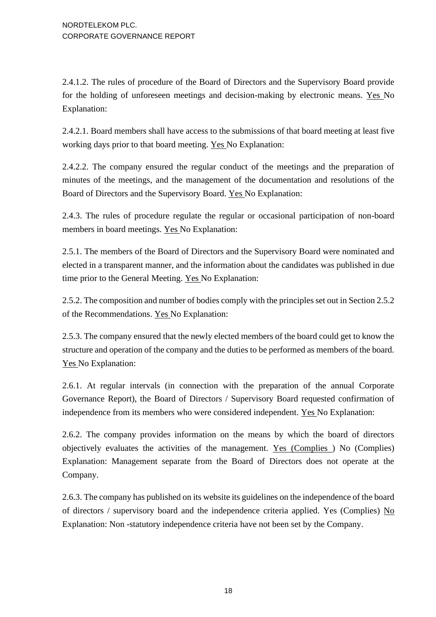2.4.1.2. The rules of procedure of the Board of Directors and the Supervisory Board provide for the holding of unforeseen meetings and decision-making by electronic means. Yes No Explanation:

2.4.2.1. Board members shall have access to the submissions of that board meeting at least five working days prior to that board meeting. Yes No Explanation:

2.4.2.2. The company ensured the regular conduct of the meetings and the preparation of minutes of the meetings, and the management of the documentation and resolutions of the Board of Directors and the Supervisory Board. Yes No Explanation:

2.4.3. The rules of procedure regulate the regular or occasional participation of non-board members in board meetings. Yes No Explanation:

2.5.1. The members of the Board of Directors and the Supervisory Board were nominated and elected in a transparent manner, and the information about the candidates was published in due time prior to the General Meeting. Yes No Explanation:

2.5.2. The composition and number of bodies comply with the principles set out in Section 2.5.2 of the Recommendations. Yes No Explanation:

2.5.3. The company ensured that the newly elected members of the board could get to know the structure and operation of the company and the duties to be performed as members of the board. Yes No Explanation:

2.6.1. At regular intervals (in connection with the preparation of the annual Corporate Governance Report), the Board of Directors / Supervisory Board requested confirmation of independence from its members who were considered independent. Yes No Explanation:

2.6.2. The company provides information on the means by which the board of directors objectively evaluates the activities of the management. Yes (Complies ) No (Complies) Explanation: Management separate from the Board of Directors does not operate at the Company.

2.6.3. The company has published on its website its guidelines on the independence of the board of directors / supervisory board and the independence criteria applied. Yes (Complies)  $N<sub>0</sub>$ Explanation: Non -statutory independence criteria have not been set by the Company.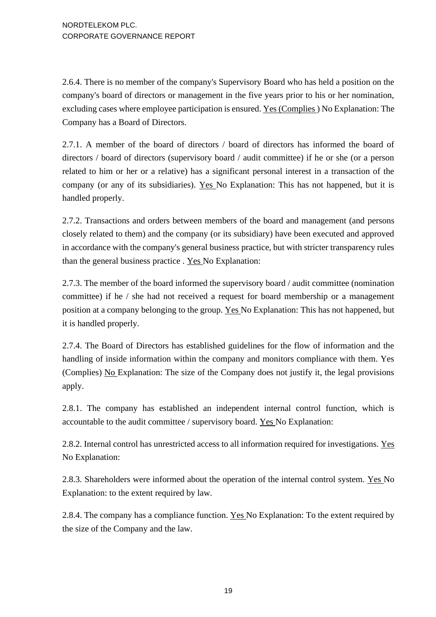2.6.4. There is no member of the company's Supervisory Board who has held a position on the company's board of directors or management in the five years prior to his or her nomination, excluding cases where employee participation is ensured. Yes (Complies ) No Explanation: The Company has a Board of Directors.

2.7.1. A member of the board of directors / board of directors has informed the board of directors / board of directors (supervisory board / audit committee) if he or she (or a person related to him or her or a relative) has a significant personal interest in a transaction of the company (or any of its subsidiaries). Yes No Explanation: This has not happened, but it is handled properly.

2.7.2. Transactions and orders between members of the board and management (and persons closely related to them) and the company (or its subsidiary) have been executed and approved in accordance with the company's general business practice, but with stricter transparency rules than the general business practice . Yes No Explanation:

2.7.3. The member of the board informed the supervisory board / audit committee (nomination committee) if he / she had not received a request for board membership or a management position at a company belonging to the group. Yes No Explanation: This has not happened, but it is handled properly.

2.7.4. The Board of Directors has established guidelines for the flow of information and the handling of inside information within the company and monitors compliance with them. Yes (Complies) No Explanation: The size of the Company does not justify it, the legal provisions apply.

2.8.1. The company has established an independent internal control function, which is accountable to the audit committee / supervisory board. Yes No Explanation:

2.8.2. Internal control has unrestricted access to all information required for investigations. Yes No Explanation:

2.8.3. Shareholders were informed about the operation of the internal control system. Yes No Explanation: to the extent required by law.

2.8.4. The company has a compliance function. Yes No Explanation: To the extent required by the size of the Company and the law.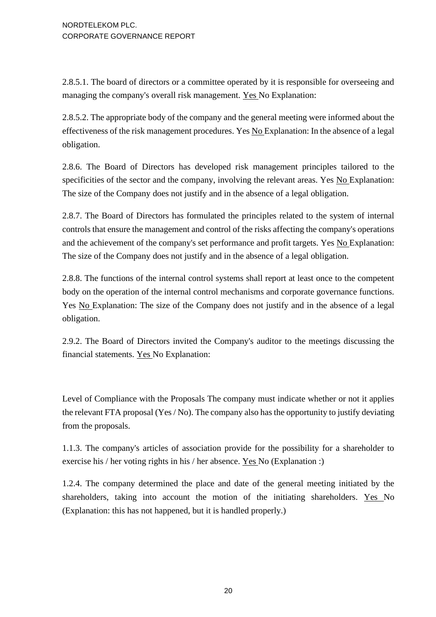2.8.5.1. The board of directors or a committee operated by it is responsible for overseeing and managing the company's overall risk management. Yes No Explanation:

2.8.5.2. The appropriate body of the company and the general meeting were informed about the effectiveness of the risk management procedures. Yes No Explanation: In the absence of a legal obligation.

2.8.6. The Board of Directors has developed risk management principles tailored to the specificities of the sector and the company, involving the relevant areas. Yes No Explanation: The size of the Company does not justify and in the absence of a legal obligation.

2.8.7. The Board of Directors has formulated the principles related to the system of internal controls that ensure the management and control of the risks affecting the company's operations and the achievement of the company's set performance and profit targets. Yes No Explanation: The size of the Company does not justify and in the absence of a legal obligation.

2.8.8. The functions of the internal control systems shall report at least once to the competent body on the operation of the internal control mechanisms and corporate governance functions. Yes No Explanation: The size of the Company does not justify and in the absence of a legal obligation.

2.9.2. The Board of Directors invited the Company's auditor to the meetings discussing the financial statements. Yes No Explanation:

Level of Compliance with the Proposals The company must indicate whether or not it applies the relevant FTA proposal (Yes / No). The company also has the opportunity to justify deviating from the proposals.

1.1.3. The company's articles of association provide for the possibility for a shareholder to exercise his / her voting rights in his / her absence. Yes No (Explanation :)

1.2.4. The company determined the place and date of the general meeting initiated by the shareholders, taking into account the motion of the initiating shareholders. Yes No (Explanation: this has not happened, but it is handled properly.)